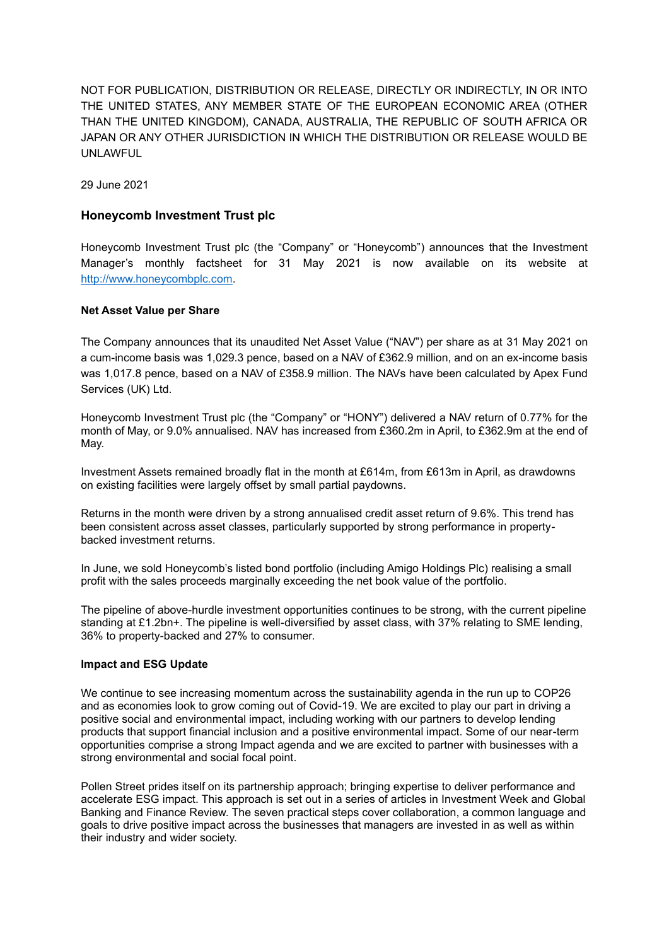NOT FOR PUBLICATION, DISTRIBUTION OR RELEASE, DIRECTLY OR INDIRECTLY, IN OR INTO THE UNITED STATES, ANY MEMBER STATE OF THE EUROPEAN ECONOMIC AREA (OTHER THAN THE UNITED KINGDOM), CANADA, AUSTRALIA, THE REPUBLIC OF SOUTH AFRICA OR JAPAN OR ANY OTHER JURISDICTION IN WHICH THE DISTRIBUTION OR RELEASE WOULD BE UNLAWFUL

29 June 2021

#### **Honeycomb Investment Trust plc**

Honeycomb Investment Trust plc (the "Company" or "Honeycomb") announces that the Investment Manager's monthly factsheet for 31 May 2021 is now available on its website at [http://www.honeycombplc.com.](http://www.honeycombplc.com/documents/)

#### **Net Asset Value per Share**

The Company announces that its unaudited Net Asset Value ("NAV") per share as at 31 May 2021 on a cum-income basis was 1,029.3 pence, based on a NAV of £362.9 million, and on an ex-income basis was 1,017.8 pence, based on a NAV of £358.9 million. The NAVs have been calculated by Apex Fund Services (UK) Ltd.

Honeycomb Investment Trust plc (the "Company" or "HONY") delivered a NAV return of 0.77% for the month of May, or 9.0% annualised. NAV has increased from £360.2m in April, to £362.9m at the end of May.

Investment Assets remained broadly flat in the month at £614m, from £613m in April, as drawdowns on existing facilities were largely offset by small partial paydowns.

Returns in the month were driven by a strong annualised credit asset return of 9.6%. This trend has been consistent across asset classes, particularly supported by strong performance in propertybacked investment returns.

In June, we sold Honeycomb's listed bond portfolio (including Amigo Holdings Plc) realising a small profit with the sales proceeds marginally exceeding the net book value of the portfolio.

The pipeline of above-hurdle investment opportunities continues to be strong, with the current pipeline standing at £1.2bn+. The pipeline is well-diversified by asset class, with 37% relating to SME lending, 36% to property-backed and 27% to consumer.

#### **Impact and ESG Update**

We continue to see increasing momentum across the sustainability agenda in the run up to COP26 and as economies look to grow coming out of Covid-19. We are excited to play our part in driving a positive social and environmental impact, including working with our partners to develop lending products that support financial inclusion and a positive environmental impact. Some of our near-term opportunities comprise a strong Impact agenda and we are excited to partner with businesses with a strong environmental and social focal point.

Pollen Street prides itself on its partnership approach; bringing expertise to deliver performance and accelerate ESG impact. This approach is set out in a series of articles in [Investment Week](https://www.investmentweek.co.uk/opinion/4031903/seven-private-equity-firms-boost-impact-esg) and [Global](https://www.globalbankingandfinance.com/investing-with-impact-is-more-than-just-a-strategy/)  [Banking and Finance Review.](https://www.globalbankingandfinance.com/investing-with-impact-is-more-than-just-a-strategy/) The seven practical steps cover collaboration, a common language and goals to drive positive impact across the businesses that managers are invested in as well as within their industry and wider society.